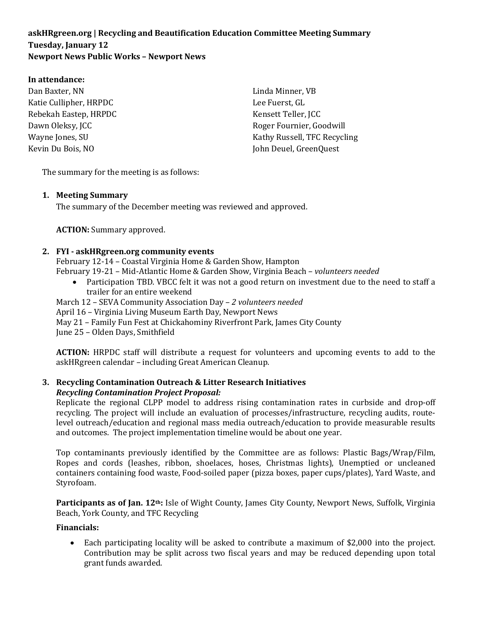# **askHRgreen.org | Recycling and Beautification Education Committee Meeting Summary Tuesday, January 12 Newport News Public Works – Newport News**

#### **In attendance:**

Dan Baxter, NN Katie Cullipher, HRPDC Rebekah Eastep, HRPDC Dawn Oleksy, JCC Wayne Jones, SU Kevin Du Bois, NO

Linda Minner, VB Lee Fuerst, GL Kensett Teller, JCC Roger Fournier, Goodwill Kathy Russell, TFC Recycling John Deuel, GreenQuest

The summary for the meeting is as follows:

#### **1. Meeting Summary**

The summary of the December meeting was reviewed and approved.

**ACTION:** Summary approved.

#### **2. FYI - askHRgreen.org community events**

February 12-14 – Coastal Virginia Home & Garden Show, Hampton February 19-21 – Mid-Atlantic Home & Garden Show, Virginia Beach – *volunteers needed*

- Participation TBD. VBCC felt it was not a good return on investment due to the need to staff a trailer for an entire weekend
- March 12 SEVA Community Association Day *2 volunteers needed*
- April 16 Virginia Living Museum Earth Day, Newport News
- May 21 Family Fun Fest at Chickahominy Riverfront Park, James City County

June 25 – Olden Days, Smithfield

**ACTION:** HRPDC staff will distribute a request for volunteers and upcoming events to add to the askHRgreen calendar – including Great American Cleanup.

# **3. Recycling Contamination Outreach & Litter Research Initiatives** *Recycling Contamination Project Proposal:*

Replicate the regional CLPP model to address rising contamination rates in curbside and drop-off recycling. The project will include an evaluation of processes/infrastructure, recycling audits, routelevel outreach/education and regional mass media outreach/education to provide measurable results and outcomes. The project implementation timeline would be about one year.

Top contaminants previously identified by the Committee are as follows: Plastic Bags/Wrap/Film, Ropes and cords (leashes, ribbon, shoelaces, hoses, Christmas lights), Unemptied or uncleaned containers containing food waste, Food-soiled paper (pizza boxes, paper cups/plates), Yard Waste, and Styrofoam.

Participants as of Jan. 12<sup>th</sup>: Isle of Wight County, James City County, Newport News, Suffolk, Virginia Beach, York County, and TFC Recycling

#### **Financials:**

• Each participating locality will be asked to contribute a maximum of \$2,000 into the project. Contribution may be split across two fiscal years and may be reduced depending upon total grant funds awarded.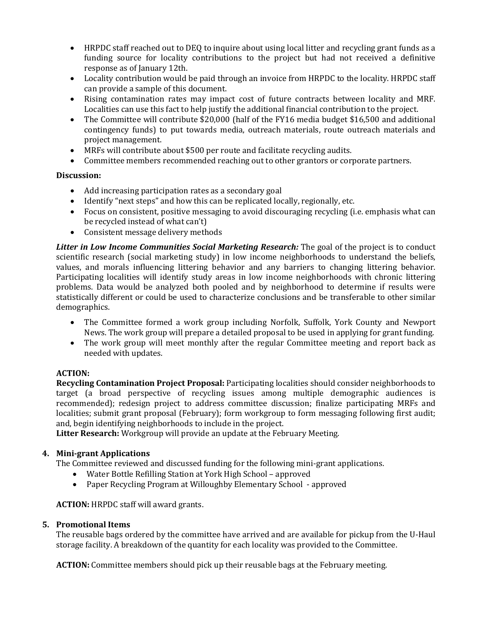- HRPDC staff reached out to DEQ to inquire about using local litter and recycling grant funds as a funding source for locality contributions to the project but had not received a definitive response as of January 12th.
- Locality contribution would be paid through an invoice from HRPDC to the locality. HRPDC staff can provide a sample of this document.
- Rising contamination rates may impact cost of future contracts between locality and MRF. Localities can use this fact to help justify the additional financial contribution to the project.
- The Committee will contribute \$20,000 (half of the FY16 media budget \$16,500 and additional contingency funds) to put towards media, outreach materials, route outreach materials and project management.
- MRFs will contribute about \$500 per route and facilitate recycling audits.
- Committee members recommended reaching out to other grantors or corporate partners.

# **Discussion:**

- Add increasing participation rates as a secondary goal
- Identify "next steps" and how this can be replicated locally, regionally, etc.
- Focus on consistent, positive messaging to avoid discouraging recycling (i.e. emphasis what can be recycled instead of what can't)
- Consistent message delivery methods

*Litter in Low Income Communities Social Marketing Research:* The goal of the project is to conduct scientific research (social marketing study) in low income neighborhoods to understand the beliefs, values, and morals influencing littering behavior and any barriers to changing littering behavior. Participating localities will identify study areas in low income neighborhoods with chronic littering problems. Data would be analyzed both pooled and by neighborhood to determine if results were statistically different or could be used to characterize conclusions and be transferable to other similar demographics.

- The Committee formed a work group including Norfolk, Suffolk, York County and Newport News. The work group will prepare a detailed proposal to be used in applying for grant funding.
- The work group will meet monthly after the regular Committee meeting and report back as needed with updates.

# **ACTION:**

**Recycling Contamination Project Proposal:** Participating localities should consider neighborhoods to target (a broad perspective of recycling issues among multiple demographic audiences is recommended); redesign project to address committee discussion; finalize participating MRFs and localities; submit grant proposal (February); form workgroup to form messaging following first audit; and, begin identifying neighborhoods to include in the project.

**Litter Research:** Workgroup will provide an update at the February Meeting.

# **4. Mini-grant Applications**

The Committee reviewed and discussed funding for the following mini-grant applications.

- Water Bottle Refilling Station at York High School approved
- Paper Recycling Program at Willoughby Elementary School approved

**ACTION:** HRPDC staff will award grants.

# **5. Promotional Items**

The reusable bags ordered by the committee have arrived and are available for pickup from the U-Haul storage facility. A breakdown of the quantity for each locality was provided to the Committee.

**ACTION:** Committee members should pick up their reusable bags at the February meeting.